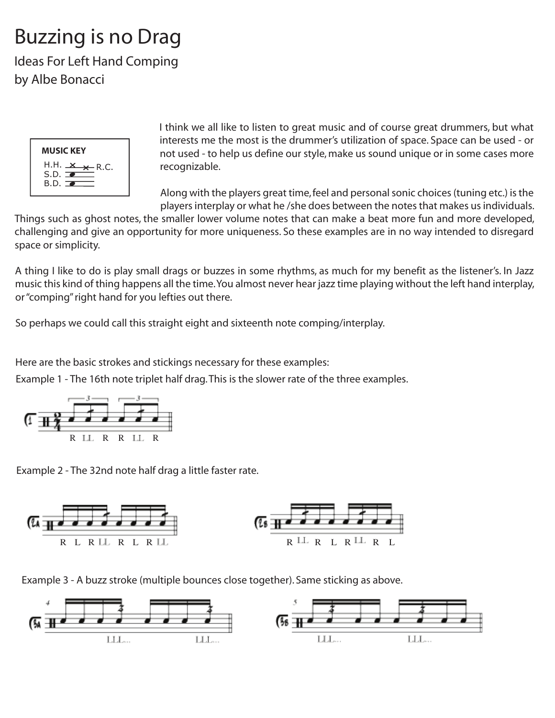## Buzzing is no Drag

Ideas For Left Hand Comping by Albe Bonacci



I think we all like to listen to great music and of course great drummers, but what interests me the most is the drummer's utilization of space. Space can be used - or not used - to help us define our style, make us sound unique or in some cases more recognizable.

Along with the players great time, feel and personal sonic choices (tuning etc.) is the players interplay or what he /she does between the notes that makes us individuals.

Things such as ghost notes, the smaller lower volume notes that can make a beat more fun and more developed, challenging and give an opportunity for more uniqueness. So these examples are in no way intended to disregard space or simplicity.

A thing I like to do is play small drags or buzzes in some rhythms, as much for my benefit as the listener's. In Jazz music this kind of thing happens all the time. You almost never hear jazz time playing without the left hand interplay, or "comping" right hand for you lefties out there.

So perhaps we could call this straight eight and sixteenth note comping/interplay.

Here are the basic strokes and stickings necessary for these examples:

Example 1 - The 16th note triplet half drag. This is the slower rate of the three examples.



Example 2 - The 32nd note half drag a little faster rate.



Example 3 - A buzz stroke (multiple bounces close together). Same sticking as above.

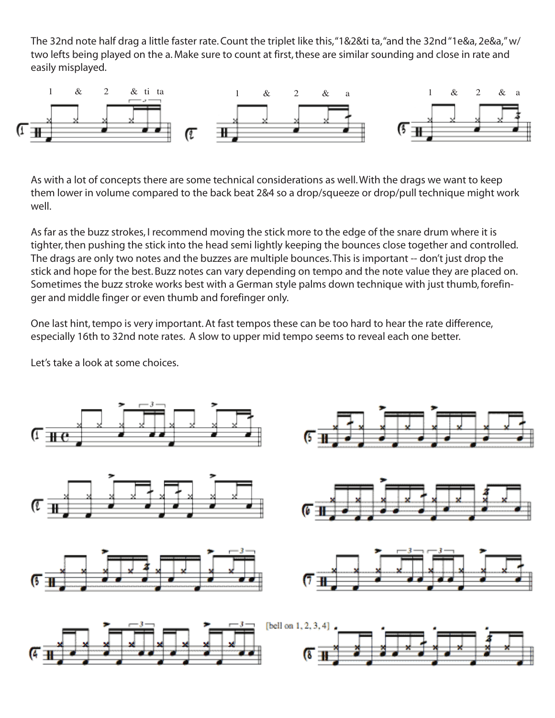The 32nd note half drag a little faster rate. Count the triplet like this, "1&2&ti ta, "and the 32nd "1e&a, 2e&a," w/ two lefts being played on the a. Make sure to count at first, these are similar sounding and close in rate and easily misplayed.



As with a lot of concepts there are some technical considerations as well. With the drags we want to keep them lower in volume compared to the back beat 2&4 so a drop/squeeze or drop/pull technique might work well.

As far as the buzz strokes, I recommend moving the stick more to the edge of the snare drum where it is tighter, then pushing the stick into the head semi lightly keeping the bounces close together and controlled. The drags are only two notes and the buzzes are multiple bounces. This is important -- don't just drop the stick and hope for the best. Buzz notes can vary depending on tempo and the note value they are placed on. Sometimes the buzz stroke works best with a German style palms down technique with just thumb, forefinger and middle finger or even thumb and forefinger only.

One last hint, tempo is very important. At fast tempos these can be too hard to hear the rate difference, especially 16th to 32nd note rates. A slow to upper mid tempo seems to reveal each one better.

Let's take a look at some choices.